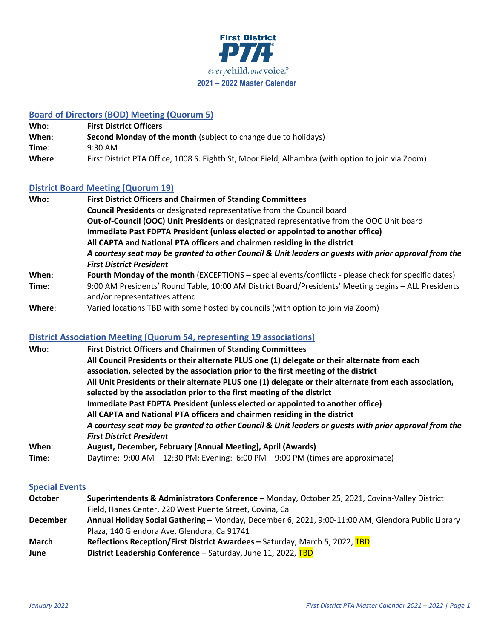

# **Board of Directors (BOD) Meeting (Quorum 5)**

| Who:   | <b>First District Officers</b>                                                                    |
|--------|---------------------------------------------------------------------------------------------------|
| When:  | <b>Second Monday of the month (subject to change due to holidays)</b>                             |
| Time:  | 9:30 AM                                                                                           |
| Where: | First District PTA Office, 1008 S. Eighth St, Moor Field, Alhambra (with option to join via Zoom) |

## **District Board Meeting (Quorum 19)**

| Who:   | <b>First District Officers and Chairmen of Standing Committees</b>                                    |
|--------|-------------------------------------------------------------------------------------------------------|
|        | <b>Council Presidents</b> or designated representative from the Council board                         |
|        | Out-of-Council (OOC) Unit Presidents or designated representative from the OOC Unit board             |
|        | Immediate Past FDPTA President (unless elected or appointed to another office)                        |
|        | All CAPTA and National PTA officers and chairmen residing in the district                             |
|        | A courtesy seat may be granted to other Council & Unit leaders or guests with prior approval from the |
|        | <b>First District President</b>                                                                       |
| When:  | Fourth Monday of the month (EXCEPTIONS - special events/conflicts - please check for specific dates)  |
| Time:  | 9:00 AM Presidents' Round Table, 10:00 AM District Board/Presidents' Meeting begins - ALL Presidents  |
|        | and/or representatives attend                                                                         |
| Where: | Varied locations TBD with some hosted by councils (with option to join via Zoom)                      |

# **District Association Meeting (Quorum 54, representing 19 associations)**

| Who:  | <b>First District Officers and Chairmen of Standing Committees</b>                                     |  |  |
|-------|--------------------------------------------------------------------------------------------------------|--|--|
|       | All Council Presidents or their alternate PLUS one (1) delegate or their alternate from each           |  |  |
|       | association, selected by the association prior to the first meeting of the district                    |  |  |
|       | All Unit Presidents or their alternate PLUS one (1) delegate or their alternate from each association, |  |  |
|       | selected by the association prior to the first meeting of the district                                 |  |  |
|       | Immediate Past FDPTA President (unless elected or appointed to another office)                         |  |  |
|       | All CAPTA and National PTA officers and chairmen residing in the district                              |  |  |
|       | A courtesy seat may be granted to other Council & Unit leaders or guests with prior approval from the  |  |  |
|       | <b>First District President</b>                                                                        |  |  |
| When: | August, December, February (Annual Meeting), April (Awards)                                            |  |  |
| Time: | Daytime: 9:00 AM - 12:30 PM; Evening: 6:00 PM - 9:00 PM (times are approximate)                        |  |  |

#### **Special Events**

| <b>October</b>  | Superintendents & Administrators Conference - Monday, October 25, 2021, Covina-Valley District     |
|-----------------|----------------------------------------------------------------------------------------------------|
|                 | Field, Hanes Center, 220 West Puente Street, Covina, Ca                                            |
| <b>December</b> | Annual Holiday Social Gathering - Monday, December 6, 2021, 9:00-11:00 AM, Glendora Public Library |
|                 | Plaza, 140 Glendora Ave, Glendora, Ca 91741                                                        |
| <b>March</b>    | Reflections Reception/First District Awardees - Saturday, March 5, 2022, TBD                       |
| June            | <b>District Leadership Conference - Saturday, June 11, 2022, TBD</b>                               |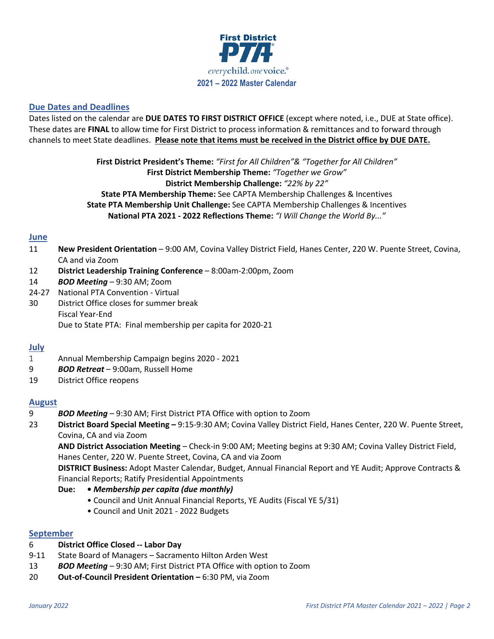

### **Due Dates and Deadlines**

Dates listed on the calendar are **DUE DATES TO FIRST DISTRICT OFFICE** (except where noted, i.e., DUE at State office). These dates are **FINAL** to allow time for First District to process information & remittances and to forward through channels to meet State deadlines. **Please note that items must be received in the District office by DUE DATE.**

> **First District President's Theme:** *"First for All Children"& "Together for All Children"* **First District Membership Theme:** *"Together we Grow"* **District Membership Challenge:** *"22% by 22"* **State PTA Membership Theme:** See CAPTA Membership Challenges & Incentives **State PTA Membership Unit Challenge:** See CAPTA Membership Challenges & Incentives **National PTA 2021 - 2022 Reflections Theme:** *"I Will Change the World By..."*

### **June**

- 11 **New President Orientation** 9:00 AM, Covina Valley District Field, Hanes Center, 220 W. Puente Street, Covina, CA and via Zoom
- 12 **District Leadership Training Conference** 8:00am-2:00pm, Zoom
- 14 *BOD Meeting* 9:30 AM; Zoom
- 24-27 National PTA Convention Virtual
- 30 District Office closes for summer break Fiscal Year-End Due to State PTA: Final membership per capita for 2020-21

#### **July**

- 1 Annual Membership Campaign begins 2020 2021
- 9 *BOD Retreat* 9:00am, Russell Home
- 19 District Office reopens

#### **August**

- 9 *BOD Meeting* 9:30 AM; First District PTA Office with option to Zoom
- 23 **District Board Special Meeting –** 9:15-9:30 AM; Covina Valley District Field, Hanes Center, 220 W. Puente Street, Covina, CA and via Zoom

**AND District Association Meeting** – Check-in 9:00 AM; Meeting begins at 9:30 AM; Covina Valley District Field, Hanes Center, 220 W. Puente Street, Covina, CA and via Zoom

**DISTRICT Business:** Adopt Master Calendar, Budget, Annual Financial Report and YE Audit; Approve Contracts & Financial Reports; Ratify Presidential Appointments

- **Due: •** *Membership per capita (due monthly)*
	- Council and Unit Annual Financial Reports, YE Audits (Fiscal YE 5/31)
	- Council and Unit 2021 2022 Budgets

#### **September**

- 6 **District Office Closed -- Labor Day**
- 9-11 State Board of Managers Sacramento Hilton Arden West
- 13 *BOD Meeting* 9:30 AM; First District PTA Office with option to Zoom
- 20 **Out-of-Council President Orientation –** 6:30 PM, via Zoom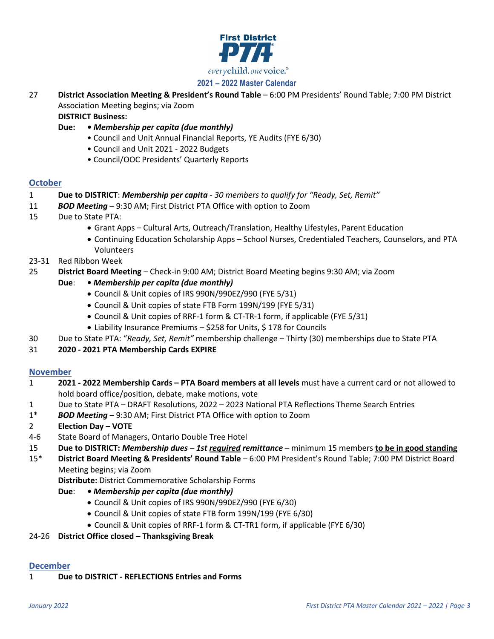

# **2021 – 2022 Master Calendar**

27 **District Association Meeting & President's Round Table** – 6:00 PM Presidents' Round Table; 7:00 PM District Association Meeting begins; via Zoom

**DISTRICT Business:**

- **Due:**  *Membership per capita (due monthly)*
	- Council and Unit Annual Financial Reports, YE Audits (FYE 6/30)
	- Council and Unit 2021 2022 Budgets
	- Council/OOC Presidents' Quarterly Reports

### **October**

- 1 **Due to DISTRICT**: *Membership per capita 30 members to qualify for "Ready, Set, Remit"*
- 11 *BOD Meeting* 9:30 AM; First District PTA Office with option to Zoom
- 15 Due to State PTA:
	- Grant Apps Cultural Arts, Outreach/Translation, Healthy Lifestyles, Parent Education
	- Continuing Education Scholarship Apps School Nurses, Credentialed Teachers, Counselors, and PTA Volunteers
- 23-31 Red Ribbon Week
- 25 **District Board Meeting** Check-in 9:00 AM; District Board Meeting begins 9:30 AM; via Zoom
	- **Due**: *Membership per capita (due monthly)*
		- Council & Unit copies of IRS 990N/990EZ/990 (FYE 5/31)
		- Council & Unit copies of state FTB Form 199N/199 (FYE 5/31)
		- Council & Unit copies of RRF-1 form & CT-TR-1 form, if applicable (FYE 5/31)
		- Liability Insurance Premiums \$258 for Units, \$178 for Councils
- 30 Due to State PTA: "*Ready, Set, Remit"* membership challenge Thirty (30) memberships due to State PTA
- 31 **2020 - 2021 PTA Membership Cards EXPIRE**

### **November**

- 1 **2021 - 2022 Membership Cards – PTA Board members at all levels** must have a current card or not allowed to hold board office/position, debate, make motions, vote
- 1 Due to State PTA DRAFT Resolutions, 2022 2023 National PTA Reflections Theme Search Entries
- 1\* *BOD Meeting* 9:30 AM; First District PTA Office with option to Zoom
- 2 **Election Day – VOTE**
- 4-6 State Board of Managers, Ontario Double Tree Hotel
- 15 **Due to DISTRICT:** *Membership dues – 1st required remittance* minimum 15 members **to be in good standing**

15\* **District Board Meeting & Presidents' Round Table** – 6:00 PM President's Round Table; 7:00 PM District Board Meeting begins; via Zoom

**Distribute:** District Commemorative Scholarship Forms

- **Due**:  *Membership per capita (due monthly)*
	- Council & Unit copies of IRS 990N/990EZ/990 (FYE 6/30)
	- Council & Unit copies of state FTB form 199N/199 (FYE 6/30)
	- Council & Unit copies of RRF-1 form & CT-TR1 form, if applicable (FYE 6/30)
- 24-26 **District Office closed – Thanksgiving Break**

# **December**

1 **Due to DISTRICT - REFLECTIONS Entries and Forms**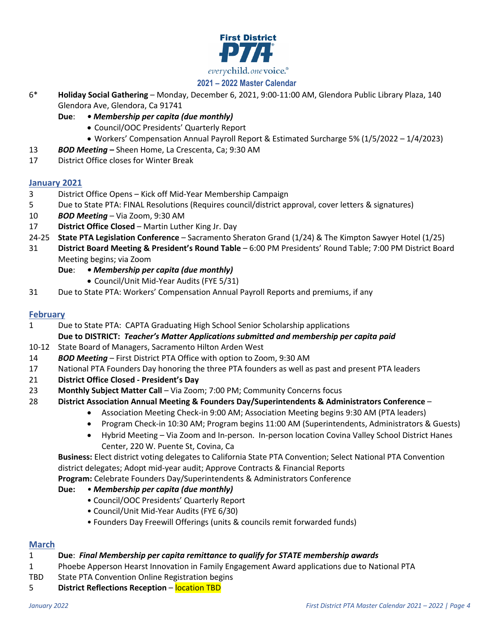

# **2021 – 2022 Master Calendar**

- 6\* **Holiday Social Gathering**  Monday, December 6, 2021, 9:00-11:00 AM, Glendora Public Library Plaza, 140 Glendora Ave, Glendora, Ca 91741
	- **Due**:  *Membership per capita (due monthly)*
		- Council/OOC Presidents' Quarterly Report
		- Workers' Compensation Annual Payroll Report & Estimated Surcharge 5% (1/5/2022 1/4/2023)
- 13 *BOD Meeting* **–** Sheen Home, La Crescenta, Ca; 9:30 AM
- 17 District Office closes for Winter Break

### **January 2021**

- 3 District Office Opens Kick off Mid-Year Membership Campaign
- 5 Due to State PTA: FINAL Resolutions (Requires council/district approval, cover letters & signatures)
- 10 *BOD Meeting* Via Zoom, 9:30 AM
- 17 **District Office Closed**  Martin Luther King Jr. Day
- 24-25 **State PTA Legislation Conference** Sacramento Sheraton Grand (1/24) & The Kimpton Sawyer Hotel (1/25)
- 31 **District Board Meeting & President's Round Table** 6:00 PM Presidents' Round Table; 7:00 PM District Board Meeting begins; via Zoom
	- **Due**:  *Membership per capita (due monthly)*
		- Council/Unit Mid-Year Audits (FYE 5/31)
- 31 Due to State PTA: Workers' Compensation Annual Payroll Reports and premiums, if any

## **February**

1 Due to State PTA: CAPTA Graduating High School Senior Scholarship applications

**Due to DISTRICT:** *Teacher's Matter Applications submitted and membership per capita paid*

- 10-12 State Board of Managers, Sacramento Hilton Arden West
- 14 *BOD Meeting* First District PTA Office with option to Zoom, 9:30 AM
- 17 National PTA Founders Day honoring the three PTA founders as well as past and present PTA leaders
- 21 **District Office Closed - President's Day**
- 23 **Monthly Subject Matter Call** Via Zoom; 7:00 PM; Community Concerns focus
- 28 **District Association Annual Meeting & Founders Day/Superintendents & Administrators Conference**
	- Association Meeting Check-in 9:00 AM; Association Meeting begins 9:30 AM (PTA leaders)
	- Program Check-in 10:30 AM; Program begins 11:00 AM (Superintendents, Administrators & Guests)
	- Hybrid Meeting Via Zoom and In-person. In-person location Covina Valley School District Hanes Center, 220 W. Puente St, Covina, Ca

**Business:** Elect district voting delegates to California State PTA Convention; Select National PTA Convention district delegates; Adopt mid-year audit; Approve Contracts & Financial Reports

- **Program:** Celebrate Founders Day/Superintendents & Administrators Conference
- **Due:** *• Membership per capita (due monthly)*
	- Council/OOC Presidents' Quarterly Report
	- Council/Unit Mid-Year Audits (FYE 6/30)
	- Founders Day Freewill Offerings (units & councils remit forwarded funds)

### **March**

### 1 **Due**: *Final Membership per capita remittance to qualify for STATE membership awards*

- 1 Phoebe Apperson Hearst Innovation in Family Engagement Award applications due to National PTA
- TBD State PTA Convention Online Registration begins
- 5 **District Reflections Reception** location TBD